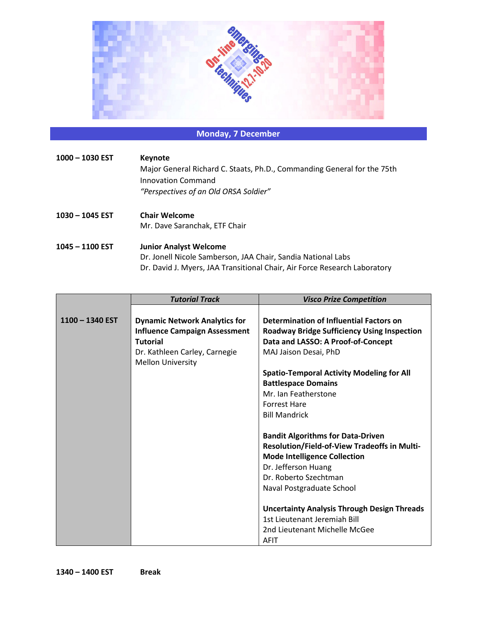

## **Monday, 7 December**

| $1000 - 1030$ EST | Keynote<br>Major General Richard C. Staats, Ph.D., Commanding General for the 75th<br>Innovation Command<br>"Perspectives of an Old ORSA Soldier"                          |
|-------------------|----------------------------------------------------------------------------------------------------------------------------------------------------------------------------|
| 1030 - 1045 EST   | <b>Chair Welcome</b><br>Mr. Dave Saranchak, ETF Chair                                                                                                                      |
| $1045 - 1100$ EST | <b>Junior Analyst Welcome</b><br>Dr. Jonell Nicole Samberson, JAA Chair, Sandia National Labs<br>Dr. David J. Myers, JAA Transitional Chair, Air Force Research Laboratory |

|                   | <b>Tutorial Track</b>                | <b>Visco Prize Competition</b>                      |
|-------------------|--------------------------------------|-----------------------------------------------------|
|                   |                                      |                                                     |
| $1100 - 1340$ EST | <b>Dynamic Network Analytics for</b> | Determination of Influential Factors on             |
|                   | <b>Influence Campaign Assessment</b> | <b>Roadway Bridge Sufficiency Using Inspection</b>  |
|                   | <b>Tutorial</b>                      | Data and LASSO: A Proof-of-Concept                  |
|                   | Dr. Kathleen Carley, Carnegie        | MAJ Jaison Desai, PhD                               |
|                   | <b>Mellon University</b>             |                                                     |
|                   |                                      | <b>Spatio-Temporal Activity Modeling for All</b>    |
|                   |                                      | <b>Battlespace Domains</b>                          |
|                   |                                      | Mr. Ian Featherstone                                |
|                   |                                      | <b>Forrest Hare</b>                                 |
|                   |                                      | <b>Bill Mandrick</b>                                |
|                   |                                      |                                                     |
|                   |                                      | <b>Bandit Algorithms for Data-Driven</b>            |
|                   |                                      | <b>Resolution/Field-of-View Tradeoffs in Multi-</b> |
|                   |                                      | <b>Mode Intelligence Collection</b>                 |
|                   |                                      | Dr. Jefferson Huang                                 |
|                   |                                      | Dr. Roberto Szechtman                               |
|                   |                                      | Naval Postgraduate School                           |
|                   |                                      |                                                     |
|                   |                                      | <b>Uncertainty Analysis Through Design Threads</b>  |
|                   |                                      | 1st Lieutenant Jeremiah Bill                        |
|                   |                                      | 2nd Lieutenant Michelle McGee                       |
|                   |                                      | AFIT                                                |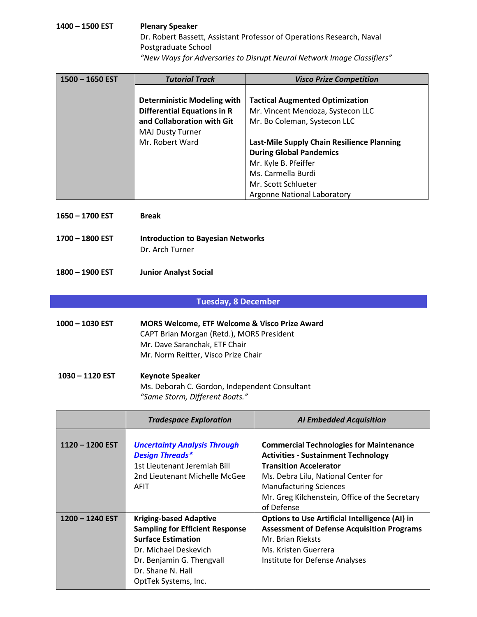### **1400 – 1500 EST Plenary Speaker** Dr. Robert Bassett, Assistant Professor of Operations Research, Naval Postgraduate School *"New Ways for Adversaries to Disrupt Neural Network Image Classifiers"*

| 1500 - 1650 EST | <b>Tutorial Track</b>              | <b>Visco Prize Competition</b>             |
|-----------------|------------------------------------|--------------------------------------------|
|                 |                                    |                                            |
|                 | <b>Deterministic Modeling with</b> | <b>Tactical Augmented Optimization</b>     |
|                 | <b>Differential Equations in R</b> | Mr. Vincent Mendoza, Systecon LLC          |
|                 | and Collaboration with Git         | Mr. Bo Coleman, Systecon LLC               |
|                 | <b>MAJ Dusty Turner</b>            |                                            |
|                 | Mr. Robert Ward                    | Last-Mile Supply Chain Resilience Planning |
|                 |                                    | <b>During Global Pandemics</b>             |
|                 |                                    | Mr. Kyle B. Pfeiffer                       |
|                 |                                    | Ms. Carmella Burdi                         |
|                 |                                    | Mr. Scott Schlueter                        |
|                 |                                    | Argonne National Laboratory                |

- **1650 – 1700 EST Break**
- **1700 – 1800 EST Introduction to Bayesian Networks** Dr. Arch Turner
- **1800 – 1900 EST Junior Analyst Social**

#### **Tuesday, 8 December**

- **1000 – 1030 EST MORS Welcome, ETF Welcome & Visco Prize Award** CAPT Brian Morgan (Retd.), MORS President Mr. Dave Saranchak, ETF Chair Mr. Norm Reitter, Visco Prize Chair
- **1030 – 1120 EST Keynote Speaker** Ms. Deborah C. Gordon, Independent Consultant *"Same Storm, Different Boats."*

|                   | <b>Tradespace Exploration</b>                                                                                                                                                                           | <b>AI Embedded Acquisition</b>                                                                                                                                                                                                                                        |
|-------------------|---------------------------------------------------------------------------------------------------------------------------------------------------------------------------------------------------------|-----------------------------------------------------------------------------------------------------------------------------------------------------------------------------------------------------------------------------------------------------------------------|
| $1120 - 1200$ EST | <b>Uncertainty Analysis Through</b><br><b>Design Threads*</b><br>1st Lieutenant Jeremiah Bill<br>2nd Lieutenant Michelle McGee<br><b>AFIT</b>                                                           | <b>Commercial Technologies for Maintenance</b><br><b>Activities - Sustainment Technology</b><br><b>Transition Accelerator</b><br>Ms. Debra Lilu, National Center for<br><b>Manufacturing Sciences</b><br>Mr. Greg Kilchenstein, Office of the Secretary<br>of Defense |
| $1200 - 1240$ EST | <b>Kriging-based Adaptive</b><br><b>Sampling for Efficient Response</b><br><b>Surface Estimation</b><br>Dr. Michael Deskevich<br>Dr. Benjamin G. Thengvall<br>Dr. Shane N. Hall<br>OptTek Systems, Inc. | <b>Options to Use Artificial Intelligence (AI) in</b><br><b>Assessment of Defense Acquisition Programs</b><br>Mr. Brian Rieksts<br>Ms. Kristen Guerrera<br>Institute for Defense Analyses                                                                             |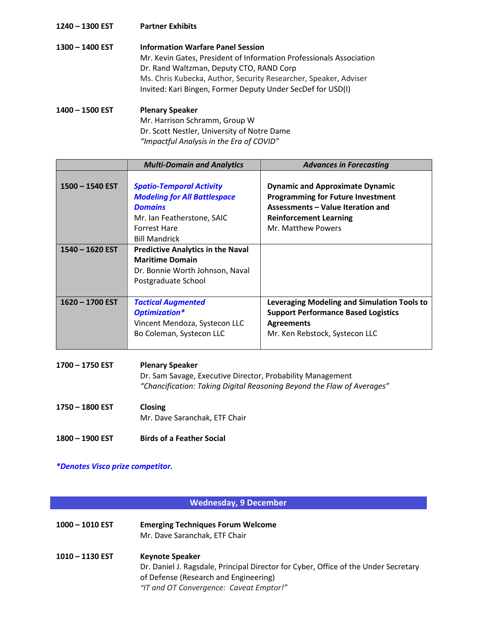#### **1240 – 1300 EST Partner Exhibits**

**1300 – 1400 EST Information Warfare Panel Session** Mr. Kevin Gates, President of Information Professionals Association Dr. Rand Waltzman, Deputy CTO, RAND Corp Ms. Chris Kubecka, Author, Security Researcher, Speaker, Adviser Invited: Kari Bingen, Former Deputy Under SecDef for USD(I) **1400 – 1500 EST Plenary Speaker**

Mr. Harrison Schramm, Group W Dr. Scott Nestler, University of Notre Dame *"Impactful Analysis in the Era of COVID"*

|                   | <b>Multi-Domain and Analytics</b>                                                                                                                                     | <b>Advances in Forecasting</b>                                                                                                                                                 |
|-------------------|-----------------------------------------------------------------------------------------------------------------------------------------------------------------------|--------------------------------------------------------------------------------------------------------------------------------------------------------------------------------|
| $1500 - 1540$ EST | <b>Spatio-Temporal Activity</b><br><b>Modeling for All Battlespace</b><br><b>Domains</b><br>Mr. Ian Featherstone, SAIC<br><b>Forrest Hare</b><br><b>Bill Mandrick</b> | <b>Dynamic and Approximate Dynamic</b><br><b>Programming for Future Investment</b><br>Assessments - Value Iteration and<br><b>Reinforcement Learning</b><br>Mr. Matthew Powers |
| $1540 - 1620$ EST | <b>Predictive Analytics in the Naval</b><br><b>Maritime Domain</b><br>Dr. Bonnie Worth Johnson, Naval<br>Postgraduate School                                          |                                                                                                                                                                                |
| $1620 - 1700$ EST | <b>Tactical Augmented</b><br>Optimization*<br>Vincent Mendoza, Systecon LLC<br>Bo Coleman, Systecon LLC                                                               | <b>Leveraging Modeling and Simulation Tools to</b><br><b>Support Performance Based Logistics</b><br><b>Agreements</b><br>Mr. Ken Rebstock, Systecon LLC                        |

| 1700 - 1750 EST | <b>Plenary Speaker</b><br>Dr. Sam Savage, Executive Director, Probability Management<br>"Chancification: Taking Digital Reasoning Beyond the Flaw of Averages" |
|-----------------|----------------------------------------------------------------------------------------------------------------------------------------------------------------|
| 1750 - 1800 EST | <b>Closing</b><br>Mr. Dave Saranchak, ETF Chair                                                                                                                |
| 1800 - 1900 EST | <b>Birds of a Feather Social</b>                                                                                                                               |

*\*Denotes Visco prize competitor.*

## **Wednesday, 9 December**

| $1000 - 1010$ EST | <b>Emerging Techniques Forum Welcome</b><br>Mr. Dave Saranchak, ETF Chair                                                                                                                         |
|-------------------|---------------------------------------------------------------------------------------------------------------------------------------------------------------------------------------------------|
| 1010 – 1130 EST   | <b>Keynote Speaker</b><br>Dr. Daniel J. Ragsdale, Principal Director for Cyber, Office of the Under Secretary<br>of Defense (Research and Engineering)<br>"IT and OT Convergence: Caveat Emptor!" |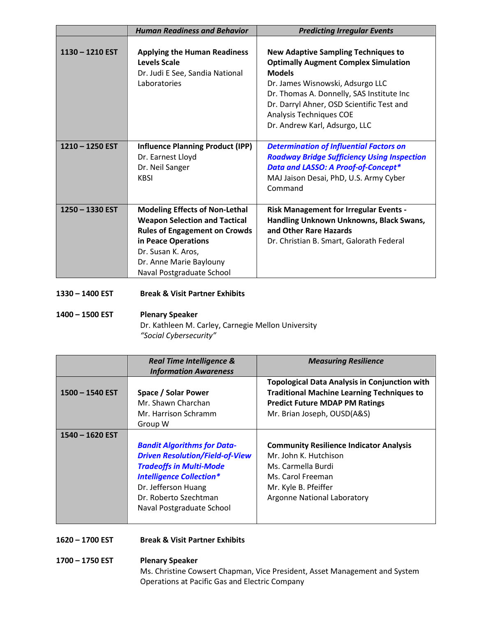|                   | <b>Human Readiness and Behavior</b>                                                                                                                                                                                        | <b>Predicting Irregular Events</b>                                                                                                                                                                                                                                                                   |
|-------------------|----------------------------------------------------------------------------------------------------------------------------------------------------------------------------------------------------------------------------|------------------------------------------------------------------------------------------------------------------------------------------------------------------------------------------------------------------------------------------------------------------------------------------------------|
| $1130 - 1210$ EST | <b>Applying the Human Readiness</b><br>Levels Scale<br>Dr. Judi E See, Sandia National<br>Laboratories                                                                                                                     | <b>New Adaptive Sampling Techniques to</b><br><b>Optimally Augment Complex Simulation</b><br><b>Models</b><br>Dr. James Wisnowski, Adsurgo LLC<br>Dr. Thomas A. Donnelly, SAS Institute Inc<br>Dr. Darryl Ahner, OSD Scientific Test and<br>Analysis Techniques COE<br>Dr. Andrew Karl, Adsurgo, LLC |
| $1210 - 1250$ EST | <b>Influence Planning Product (IPP)</b><br>Dr. Earnest Lloyd<br>Dr. Neil Sanger<br><b>KBSI</b>                                                                                                                             | <b>Determination of Influential Factors on</b><br><b>Roadway Bridge Sufficiency Using Inspection</b><br>Data and LASSO: A Proof-of-Concept*<br>MAJ Jaison Desai, PhD, U.S. Army Cyber<br>Command                                                                                                     |
| 1250 - 1330 EST   | <b>Modeling Effects of Non-Lethal</b><br><b>Weapon Selection and Tactical</b><br><b>Rules of Engagement on Crowds</b><br>in Peace Operations<br>Dr. Susan K. Aros,<br>Dr. Anne Marie Baylouny<br>Naval Postgraduate School | <b>Risk Management for Irregular Events -</b><br>Handling Unknown Unknowns, Black Swans,<br>and Other Rare Hazards<br>Dr. Christian B. Smart, Galorath Federal                                                                                                                                       |

**1330 – 1400 EST Break & Visit Partner Exhibits**

## **1400 – 1500 EST Plenary Speaker** Dr. Kathleen M. Carley, Carnegie Mellon University *"Social Cybersecurity"*

|                   | <b>Real Time Intelligence &amp;</b><br><b>Information Awareness</b>                                                                                                                                                            | <b>Measuring Resilience</b>                                                                                                                                                       |
|-------------------|--------------------------------------------------------------------------------------------------------------------------------------------------------------------------------------------------------------------------------|-----------------------------------------------------------------------------------------------------------------------------------------------------------------------------------|
| $1500 - 1540$ EST | Space / Solar Power<br>Mr. Shawn Charchan<br>Mr. Harrison Schramm<br>Group W                                                                                                                                                   | <b>Topological Data Analysis in Conjunction with</b><br><b>Traditional Machine Learning Techniques to</b><br><b>Predict Future MDAP PM Ratings</b><br>Mr. Brian Joseph, OUSD(A&S) |
| $1540 - 1620$ EST | <b>Bandit Algorithms for Data-</b><br><b>Driven Resolution/Field-of-View</b><br><b>Tradeoffs in Multi-Mode</b><br><b>Intelligence Collection*</b><br>Dr. Jefferson Huang<br>Dr. Roberto Szechtman<br>Naval Postgraduate School | <b>Community Resilience Indicator Analysis</b><br>Mr. John K. Hutchison<br>Ms. Carmella Burdi<br>Ms. Carol Freeman<br>Mr. Kyle B. Pfeiffer<br><b>Argonne National Laboratory</b>  |

- **1620 – 1700 EST Break & Visit Partner Exhibits**
- **1700 – 1750 EST Plenary Speaker** Ms. Christine Cowsert Chapman, Vice President, Asset Management and System Operations at Pacific Gas and Electric Company